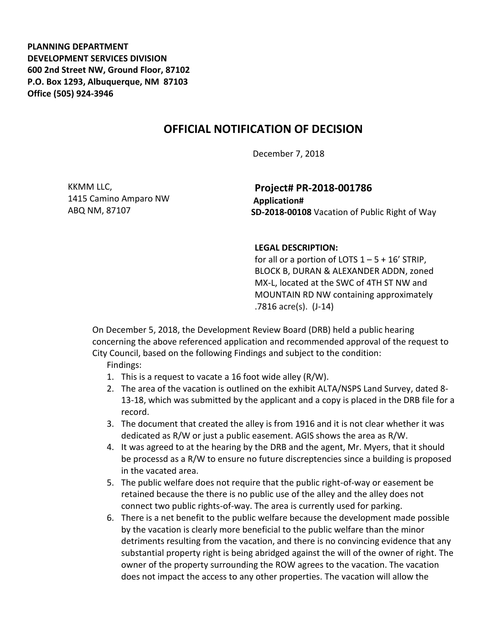**PLANNING DEPARTMENT DEVELOPMENT SERVICES DIVISION 600 2nd Street NW, Ground Floor, 87102 P.O. Box 1293, Albuquerque, NM 87103 Office (505) 924-3946** 

## **OFFICIAL NOTIFICATION OF DECISION**

December 7, 2018

KKMM LLC, 1415 Camino Amparo NW ABQ NM, 87107

**Project# PR-2018-001786 Application# SD-2018-00108** Vacation of Public Right of Way

## **LEGAL DESCRIPTION:**

for all or a portion of LOTS  $1 - 5 + 16'$  STRIP, BLOCK B, DURAN & ALEXANDER ADDN, zoned MX-L, located at the SWC of 4TH ST NW and MOUNTAIN RD NW containing approximately .7816 acre(s). (J-14)

On December 5, 2018, the Development Review Board (DRB) held a public hearing concerning the above referenced application and recommended approval of the request to City Council, based on the following Findings and subject to the condition:

Findings:

- 1. This is a request to vacate a 16 foot wide alley (R/W).
- 2. The area of the vacation is outlined on the exhibit ALTA/NSPS Land Survey, dated 8- 13-18, which was submitted by the applicant and a copy is placed in the DRB file for a record.
- 3. The document that created the alley is from 1916 and it is not clear whether it was dedicated as R/W or just a public easement. AGIS shows the area as R/W.
- 4. It was agreed to at the hearing by the DRB and the agent, Mr. Myers, that it should be processd as a R/W to ensure no future discreptencies since a building is proposed in the vacated area.
- 5. The public welfare does not require that the public right-of-way or easement be retained because the there is no public use of the alley and the alley does not connect two public rights-of-way. The area is currently used for parking.
- 6. There is a net benefit to the public welfare because the development made possible by the vacation is clearly more beneficial to the public welfare than the minor detriments resulting from the vacation, and there is no convincing evidence that any substantial property right is being abridged against the will of the owner of right. The owner of the property surrounding the ROW agrees to the vacation. The vacation does not impact the access to any other properties. The vacation will allow the